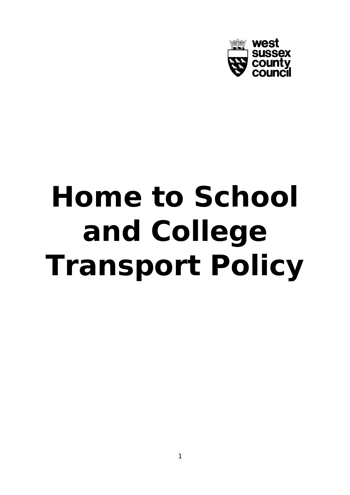

# **Home to School and College Transport Policy**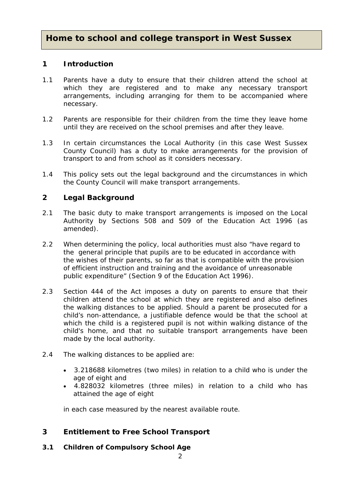# **Home to school and college transport in West Sussex**

## **1 Introduction**

- 1.1 Parents have a duty to ensure that their children attend the school at which they are registered and to make any necessary transport arrangements, including arranging for them to be accompanied where necessary.
- 1.2 Parents are responsible for their children from the time they leave home until they are received on the school premises and after they leave.
- 1.3 In certain circumstances the Local Authority (in this case West Sussex County Council) has a duty to make arrangements for the provision of transport to and from school as it considers necessary.
- 1.4 This policy sets out the legal background and the circumstances in which the County Council will make transport arrangements.

## **2 Legal Background**

- 2.1 The basic duty to make transport arrangements is imposed on the Local Authority by Sections 508 and 509 of the Education Act 1996 (as amended).
- 2.2 When determining the policy, local authorities must also "have regard to the general principle that pupils are to be educated in accordance with the wishes of their parents, so far as that is compatible with the provision of efficient instruction and training and the avoidance of unreasonable public expenditure" (Section 9 of the Education Act 1996).
- 2.3 Section 444 of the Act imposes a duty on parents to ensure that their children attend the school at which they are registered and also defines the walking distances to be applied. Should a parent be prosecuted for a child's non-attendance, a justifiable defence would be that the school at which the child is a registered pupil is not within walking distance of the child's home, and that no suitable transport arrangements have been made by the local authority.
- 2.4 The walking distances to be applied are:
	- 3.218688 kilometres (two miles) in relation to a child who is under the age of eight and
	- 4.828032 kilometres (three miles) in relation to a child who has attained the age of eight

in each case measured by the nearest available route.

# **3 Entitlement to Free School Transport**

**3.1 Children of Compulsory School Age**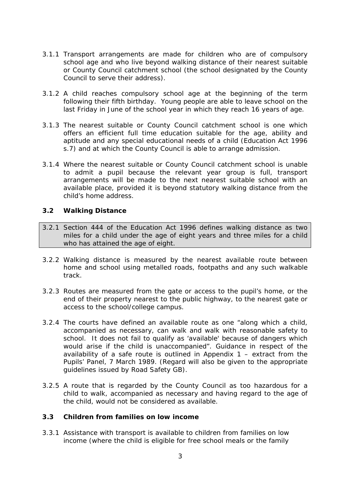- 3.1.1 Transport arrangements are made for children who are of compulsory school age and who live beyond walking distance of their nearest suitable or County Council catchment school (the school designated by the County Council to serve their address).
- 3.1.2 A child reaches compulsory school age at the beginning of the term following their fifth birthday. Young people are able to leave school on the last Friday in June of the school year in which they reach 16 years of age.
- 3.1.3 The nearest suitable or County Council catchment school is one which offers an efficient full time education suitable for the age, ability and aptitude and any special educational needs of a child (Education Act 1996 s.7) and at which the County Council is able to arrange admission.
- 3.1.4 Where the nearest suitable or County Council catchment school is unable to admit a pupil because the relevant year group is full, transport arrangements will be made to the next nearest suitable school with an available place, provided it is beyond statutory walking distance from the child's home address.

#### **3.2 Walking Distance**

- 3.2.1 Section 444 of the Education Act 1996 defines walking distance as two miles for a child under the age of eight years and three miles for a child who has attained the age of eight.
- 3.2.2 Walking distance is measured by the nearest available route between home and school using metalled roads, footpaths and any such walkable track.
- 3.2.3 Routes are measured from the gate or access to the pupil's home, or the end of their property nearest to the public highway, to the nearest gate or access to the school/college campus.
- 3.2.4 The courts have defined an available route as one "along which a child, accompanied as necessary, can walk and walk with reasonable safety to school. It does not fail to qualify as 'available' because of dangers which would arise if the child is unaccompanied". Guidance in respect of the availability of a safe route is outlined in Appendix 1 – extract from the Pupils' Panel, 7 March 1989. (Regard will also be given to the appropriate guidelines issued by Road Safety GB).
- 3.2.5 A route that is regarded by the County Council as too hazardous for a child to walk, accompanied as necessary and having regard to the age of the child, would not be considered as available.

## **3.3 Children from families on low income**

3.3.1 Assistance with transport is available to children from families on low income (where the child is eligible for free school meals or the family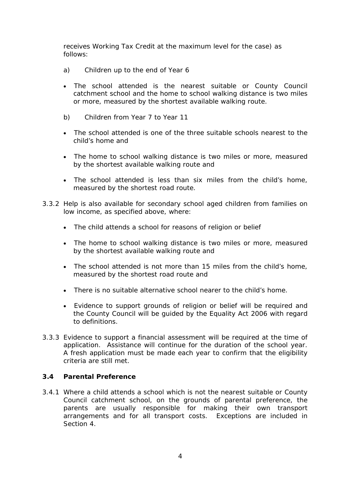receives Working Tax Credit at the maximum level for the case) as follows:

- a) Children up to the end of Year 6
- The school attended is the nearest suitable or County Council catchment school and the home to school walking distance is two miles or more, measured by the shortest available walking route.
- b) Children from Year 7 to Year 11
- The school attended is one of the three suitable schools nearest to the child's home and
- The home to school walking distance is two miles or more, measured by the shortest available walking route and
- The school attended is less than six miles from the child's home, measured by the shortest road route.
- 3.3.2 Help is also available for secondary school aged children from families on low income, as specified above, where:
	- The child attends a school for reasons of religion or belief
	- The home to school walking distance is two miles or more, measured by the shortest available walking route and
	- The school attended is not more than 15 miles from the child's home, measured by the shortest road route and
	- There is no suitable alternative school nearer to the child's home.
	- Evidence to support grounds of religion or belief will be required and the County Council will be guided by the Equality Act 2006 with regard to definitions.
- 3.3.3 Evidence to support a financial assessment will be required at the time of application. Assistance will continue for the duration of the school year. A fresh application must be made each year to confirm that the eligibility criteria are still met.

## **3.4 Parental Preference**

3.4.1 Where a child attends a school which is not the nearest suitable or County Council catchment school, on the grounds of parental preference, the parents are usually responsible for making their own transport arrangements and for all transport costs. Exceptions are included in Section 4.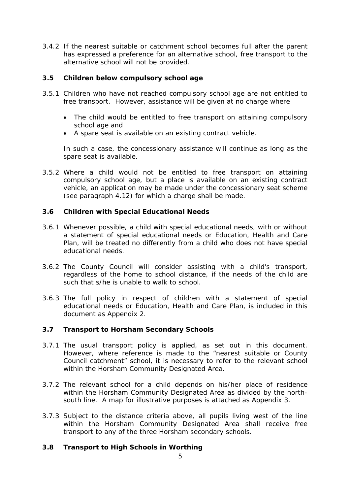3.4.2 If the nearest suitable or catchment school becomes full after the parent has expressed a preference for an alternative school, free transport to the alternative school will not be provided.

## **3.5 Children below compulsory school age**

- 3.5.1 Children who have not reached compulsory school age are not entitled to free transport. However, assistance will be given at no charge where
	- The child would be entitled to free transport on attaining compulsory school age and
	- A spare seat is available on an existing contract vehicle.

In such a case, the concessionary assistance will continue as long as the spare seat is available.

3.5.2 Where a child would not be entitled to free transport on attaining compulsory school age, but a place is available on an existing contract vehicle, an application may be made under the concessionary seat scheme (see paragraph 4.12) for which a charge shall be made.

## **3.6 Children with Special Educational Needs**

- 3.6.1 Whenever possible, a child with special educational needs, with or without a statement of special educational needs or Education, Health and Care Plan, will be treated no differently from a child who does not have special educational needs.
- 3.6.2 The County Council will consider assisting with a child's transport, regardless of the home to school distance, if the needs of the child are such that s/he is unable to walk to school.
- 3.6.3 The full policy in respect of children with a statement of special educational needs or Education, Health and Care Plan, is included in this document as Appendix 2.

## **3.7 Transport to Horsham Secondary Schools**

- 3.7.1 The usual transport policy is applied, as set out in this document. However, where reference is made to the "nearest suitable or County Council catchment" school, it is necessary to refer to the relevant school within the Horsham Community Designated Area.
- 3.7.2 The relevant school for a child depends on his/her place of residence within the Horsham Community Designated Area as divided by the northsouth line. A map for illustrative purposes is attached as Appendix 3.
- 3.7.3 Subject to the distance criteria above, all pupils living west of the line within the Horsham Community Designated Area shall receive free transport to any of the three Horsham secondary schools.

## **3.8 Transport to High Schools in Worthing**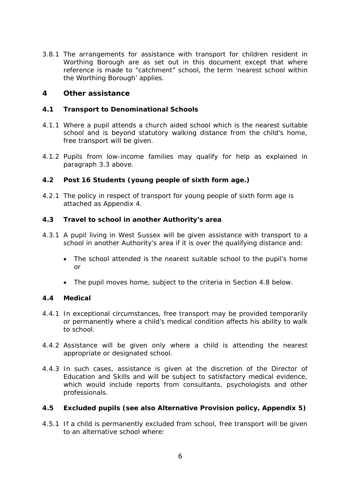3.8.1 The arrangements for assistance with transport for children resident in Worthing Borough are as set out in this document except that where reference is made to "catchment" school, the term 'nearest school within the Worthing Borough' applies.

## **4 Other assistance**

## **4.1 Transport to Denominational Schools**

- 4.1.1 Where a pupil attends a church aided school which is the nearest suitable school and is beyond statutory walking distance from the child's home, free transport will be given.
- 4.1.2 Pupils from low-income families may qualify for help as explained in paragraph 3.3 above.

## **4.2 Post 16 Students (young people of sixth form age.)**

4.2.1 The policy in respect of transport for young people of sixth form age is attached as Appendix 4.

## **4.3 Travel to school in another Authority's area**

- 4.3.1 A pupil living in West Sussex will be given assistance with transport to a school in another Authority's area if it is over the qualifying distance and:
	- The school attended is the nearest suitable school to the pupil's home or
	- The pupil moves home, subject to the criteria in Section 4.8 below.

## **4.4 Medical**

- 4.4.1 In exceptional circumstances, free transport may be provided temporarily or permanently where a child's medical condition affects his ability to walk to school.
- 4.4.2 Assistance will be given only where a child is attending the nearest appropriate or designated school.
- 4.4.3 In such cases, assistance is given at the discretion of the Director of Education and Skills and will be subject to satisfactory medical evidence, which would include reports from consultants, psychologists and other professionals.

## **4.5 Excluded pupils (see also Alternative Provision policy, Appendix 5)**

4.5.1 If a child is permanently excluded from school, free transport will be given to an alternative school where: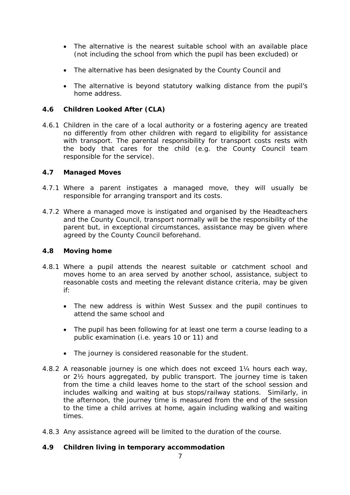- The alternative is the nearest suitable school with an available place (not including the school from which the pupil has been excluded) or
- The alternative has been designated by the County Council and
- The alternative is beyond statutory walking distance from the pupil's home address.

## **4.6 Children Looked After (CLA)**

4.6.1 Children in the care of a local authority or a fostering agency are treated no differently from other children with regard to eligibility for assistance with transport. The parental responsibility for transport costs rests with the body that cares for the child (e.g. the County Council team responsible for the service).

## **4.7 Managed Moves**

- 4.7.1 Where a parent instigates a managed move, they will usually be responsible for arranging transport and its costs.
- 4.7.2 Where a managed move is instigated and organised by the Headteachers and the County Council, transport normally will be the responsibility of the parent but, in exceptional circumstances, assistance may be given where agreed by the County Council beforehand.

## **4.8 Moving home**

- 4.8.1 Where a pupil attends the nearest suitable or catchment school and moves home to an area served by another school, assistance, subject to reasonable costs and meeting the relevant distance criteria, may be given if:
	- The new address is within West Sussex and the pupil continues to attend the same school and
	- The pupil has been following for at least one term a course leading to a public examination (i.e. years 10 or 11) and
	- The journey is considered reasonable for the student.
- 4.8.2 A reasonable journey is one which does not exceed 1¼ hours each way, or 2½ hours aggregated, by public transport. The journey time is taken from the time a child leaves home to the start of the school session and includes walking and waiting at bus stops/railway stations. Similarly, in the afternoon, the journey time is measured from the end of the session to the time a child arrives at home, again including walking and waiting times.
- 4.8.3 Any assistance agreed will be limited to the duration of the course.

## **4.9 Children living in temporary accommodation**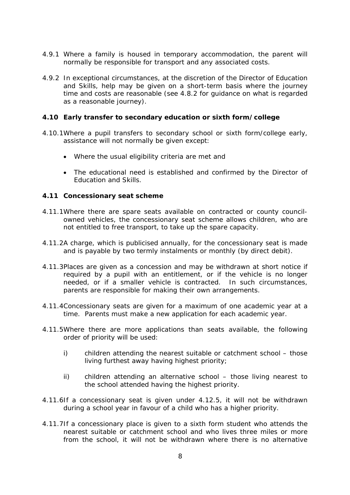- 4.9.1 Where a family is housed in temporary accommodation, the parent will normally be responsible for transport and any associated costs.
- 4.9.2 In exceptional circumstances, at the discretion of the Director of Education and Skills, help may be given on a short-term basis where the journey time and costs are reasonable (see 4.8.2 for guidance on what is regarded as a reasonable journey).

## **4.10 Early transfer to secondary education or sixth form/college**

- 4.10.1Where a pupil transfers to secondary school or sixth form/college early, assistance will not normally be given except:
	- Where the usual eligibility criteria are met and
	- The educational need is established and confirmed by the Director of Education and Skills.

## **4.11 Concessionary seat scheme**

- 4.11.1Where there are spare seats available on contracted or county councilowned vehicles, the concessionary seat scheme allows children, who are not entitled to free transport, to take up the spare capacity.
- 4.11.2A charge, which is publicised annually, for the concessionary seat is made and is payable by two termly instalments or monthly (by direct debit).
- 4.11.3Places are given as a concession and may be withdrawn at short notice if required by a pupil with an entitlement, or if the vehicle is no longer needed, or if a smaller vehicle is contracted. In such circumstances, parents are responsible for making their own arrangements.
- 4.11.4Concessionary seats are given for a maximum of one academic year at a time. Parents must make a new application for each academic year.
- 4.11.5Where there are more applications than seats available, the following order of priority will be used:
	- i) children attending the nearest suitable or catchment school those living furthest away having highest priority;
	- ii) children attending an alternative school those living nearest to the school attended having the highest priority.
- 4.11.6If a concessionary seat is given under 4.12.5, it will not be withdrawn during a school year in favour of a child who has a higher priority.
- 4.11.7If a concessionary place is given to a sixth form student who attends the nearest suitable or catchment school and who lives three miles or more from the school, it will not be withdrawn where there is no alternative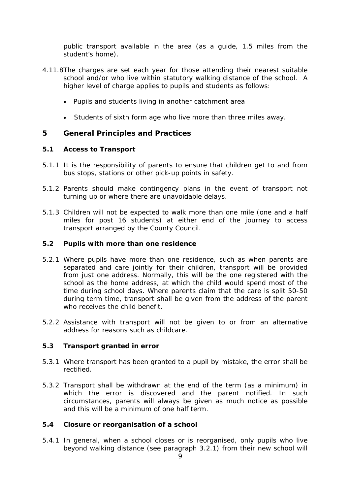public transport available in the area (as a guide, 1.5 miles from the student's home).

- 4.11.8The charges are set each year for those attending their nearest suitable school and/or who live within statutory walking distance of the school. A higher level of charge applies to pupils and students as follows:
	- Pupils and students living in another catchment area
	- Students of sixth form age who live more than three miles away.

## **5 General Principles and Practices**

## **5.1 Access to Transport**

- 5.1.1 It is the responsibility of parents to ensure that children get to and from bus stops, stations or other pick-up points in safety.
- 5.1.2 Parents should make contingency plans in the event of transport not turning up or where there are unavoidable delays.
- 5.1.3 Children will not be expected to walk more than one mile (one and a half miles for post 16 students) at either end of the journey to access transport arranged by the County Council.

## **5.2 Pupils with more than one residence**

- 5.2.1 Where pupils have more than one residence, such as when parents are separated and care jointly for their children, transport will be provided from just one address. Normally, this will be the one registered with the school as the home address, at which the child would spend most of the time during school days. Where parents claim that the care is split 50-50 during term time, transport shall be given from the address of the parent who receives the child benefit.
- 5.2.2 Assistance with transport will not be given to or from an alternative address for reasons such as childcare.

## **5.3 Transport granted in error**

- 5.3.1 Where transport has been granted to a pupil by mistake, the error shall be rectified.
- 5.3.2 Transport shall be withdrawn at the end of the term (as a minimum) in which the error is discovered and the parent notified. In such circumstances, parents will always be given as much notice as possible and this will be a minimum of one half term.

## **5.4 Closure or reorganisation of a school**

5.4.1 In general, when a school closes or is reorganised, only pupils who live beyond walking distance (see paragraph 3.2.1) from their new school will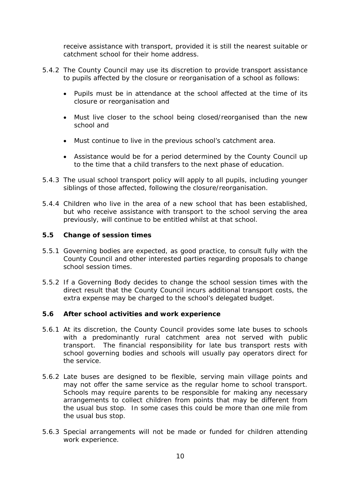receive assistance with transport, provided it is still the nearest suitable or catchment school for their home address.

- 5.4.2 The County Council may use its discretion to provide transport assistance to pupils affected by the closure or reorganisation of a school as follows:
	- Pupils must be in attendance at the school affected at the time of its closure or reorganisation and
	- Must live closer to the school being closed/reorganised than the new school and
	- Must continue to live in the previous school's catchment area.
	- Assistance would be for a period determined by the County Council up to the time that a child transfers to the next phase of education.
- 5.4.3 The usual school transport policy will apply to all pupils, including younger siblings of those affected, following the closure/reorganisation.
- 5.4.4 Children who live in the area of a new school that has been established, but who receive assistance with transport to the school serving the area previously, will continue to be entitled whilst at that school.

## **5.5 Change of session times**

- 5.5.1 Governing bodies are expected, as good practice, to consult fully with the County Council and other interested parties regarding proposals to change school session times.
- 5.5.2 If a Governing Body decides to change the school session times with the direct result that the County Council incurs additional transport costs, the extra expense may be charged to the school's delegated budget.

## **5.6 After school activities and work experience**

- 5.6.1 At its discretion, the County Council provides some late buses to schools with a predominantly rural catchment area not served with public transport. The financial responsibility for late bus transport rests with school governing bodies and schools will usually pay operators direct for the service.
- 5.6.2 Late buses are designed to be flexible, serving main village points and may not offer the same service as the regular home to school transport. Schools may require parents to be responsible for making any necessary arrangements to collect children from points that may be different from the usual bus stop. In some cases this could be more than one mile from the usual bus stop.
- 5.6.3 Special arrangements will not be made or funded for children attending work experience.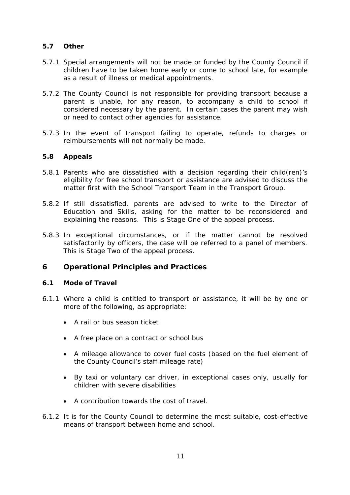## **5.7 Other**

- 5.7.1 Special arrangements will not be made or funded by the County Council if children have to be taken home early or come to school late, for example as a result of illness or medical appointments.
- 5.7.2 The County Council is not responsible for providing transport because a parent is unable, for any reason, to accompany a child to school if considered necessary by the parent. In certain cases the parent may wish or need to contact other agencies for assistance.
- 5.7.3 In the event of transport failing to operate, refunds to charges or reimbursements will not normally be made.

## **5.8 Appeals**

- 5.8.1 Parents who are dissatisfied with a decision regarding their child(ren)'s eligibility for free school transport or assistance are advised to discuss the matter first with the School Transport Team in the Transport Group.
- 5.8.2 If still dissatisfied, parents are advised to write to the Director of Education and Skills, asking for the matter to be reconsidered and explaining the reasons. This is Stage One of the appeal process.
- 5.8.3 In exceptional circumstances, or if the matter cannot be resolved satisfactorily by officers, the case will be referred to a panel of members. This is Stage Two of the appeal process.

## **6 Operational Principles and Practices**

## **6.1 Mode of Travel**

- 6.1.1 Where a child is entitled to transport or assistance, it will be by one or more of the following, as appropriate:
	- A rail or bus season ticket
	- A free place on a contract or school bus
	- A mileage allowance to cover fuel costs (based on the fuel element of the County Council's staff mileage rate)
	- By taxi or voluntary car driver, in exceptional cases only, usually for children with severe disabilities
	- A contribution towards the cost of travel.
- 6.1.2 It is for the County Council to determine the most suitable, cost-effective means of transport between home and school.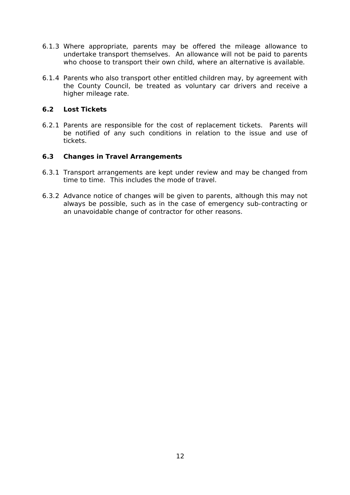- 6.1.3 Where appropriate, parents may be offered the mileage allowance to undertake transport themselves. An allowance will not be paid to parents who choose to transport their own child, where an alternative is available.
- 6.1.4 Parents who also transport other entitled children may, by agreement with the County Council, be treated as voluntary car drivers and receive a higher mileage rate.

## **6.2 Lost Tickets**

6.2.1 Parents are responsible for the cost of replacement tickets. Parents will be notified of any such conditions in relation to the issue and use of tickets.

## **6.3 Changes in Travel Arrangements**

- 6.3.1 Transport arrangements are kept under review and may be changed from time to time. This includes the mode of travel.
- 6.3.2 Advance notice of changes will be given to parents, although this may not always be possible, such as in the case of emergency sub-contracting or an unavoidable change of contractor for other reasons.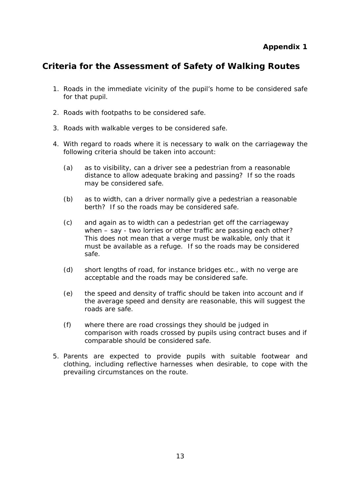# **Criteria for the Assessment of Safety of Walking Routes**

- 1. Roads in the immediate vicinity of the pupil's home to be considered safe for that pupil.
- 2. Roads with footpaths to be considered safe.
- 3. Roads with walkable verges to be considered safe.
- 4. With regard to roads where it is necessary to walk on the carriageway the following criteria should be taken into account:
	- (a) as to visibility, can a driver see a pedestrian from a reasonable distance to allow adequate braking and passing? If so the roads may be considered safe.
	- (b) as to width, can a driver normally give a pedestrian a reasonable berth? If so the roads may be considered safe.
	- (c) and again as to width can a pedestrian get off the carriageway when – say - two lorries or other traffic are passing each other? This does not mean that a verge must be walkable, only that it must be available as a refuge. If so the roads may be considered safe.
	- (d) short lengths of road, for instance bridges etc., with no verge are acceptable and the roads may be considered safe.
	- (e) the speed and density of traffic should be taken into account and if the average speed and density are reasonable, this will suggest the roads are safe.
	- (f) where there are road crossings they should be judged in comparison with roads crossed by pupils using contract buses and if comparable should be considered safe.
- 5. Parents are expected to provide pupils with suitable footwear and clothing, including reflective harnesses when desirable, to cope with the prevailing circumstances on the route.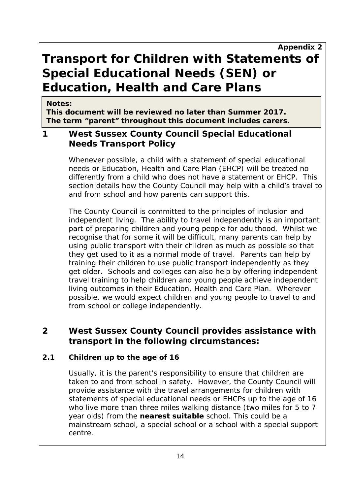# **Transport for Children with Statements of Special Educational Needs (SEN) or Education, Health and Care Plans**

## **Notes:**

**This document will be reviewed no later than Summer 2017. The term "parent" throughout this document includes carers.**

# **1 West Sussex County Council Special Educational Needs Transport Policy**

Whenever possible, a child with a statement of special educational needs or Education, Health and Care Plan (EHCP) will be treated no differently from a child who does not have a statement or EHCP. This section details how the County Council may help with a child's travel to and from school and how parents can support this.

The County Council is committed to the principles of inclusion and independent living. The ability to travel independently is an important part of preparing children and young people for adulthood. Whilst we recognise that for some it will be difficult, many parents can help by using public transport with their children as much as possible so that they get used to it as a normal mode of travel. Parents can help by training their children to use public transport independently as they get older. Schools and colleges can also help by offering independent travel training to help children and young people achieve independent living outcomes in their Education, Health and Care Plan. Wherever possible, we would expect children and young people to travel to and from school or college independently.

# **2 West Sussex County Council provides assistance with transport in the following circumstances:**

# **2.1 Children up to the age of 16**

Usually, it is the parent's responsibility to ensure that children are taken to and from school in safety. However, the County Council will provide assistance with the travel arrangements for children with statements of special educational needs or EHCPs up to the age of 16 who live more than three miles walking distance (two miles for 5 to 7 year olds) from the **nearest suitable** school. This could be a mainstream school, a special school or a school with a special support centre.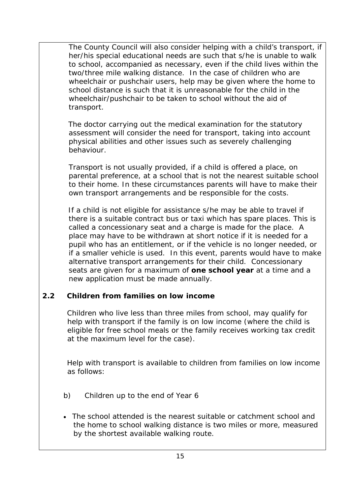The County Council will also consider helping with a child's transport, if her/his special educational needs are such that s/he is unable to walk to school, accompanied as necessary, even if the child lives within the two/three mile walking distance. In the case of children who are wheelchair or pushchair users, help may be given where the home to school distance is such that it is unreasonable for the child in the wheelchair/pushchair to be taken to school without the aid of transport.

 The doctor carrying out the medical examination for the statutory assessment will consider the need for transport, taking into account physical abilities and other issues such as severely challenging behaviour.

Transport is not usually provided, if a child is offered a place, on parental preference, at a school that is not the nearest suitable school to their home. In these circumstances parents will have to make their own transport arrangements and be responsible for the costs.

 If a child is not eligible for assistance s/he may be able to travel if there is a suitable contract bus or taxi which has spare places. This is called a concessionary seat and a charge is made for the place. A place may have to be withdrawn at short notice if it is needed for a pupil who has an entitlement, or if the vehicle is no longer needed, or if a smaller vehicle is used. In this event, parents would have to make alternative transport arrangements for their child. Concessionary seats are given for a maximum of **one school year** at a time and a new application must be made annually.

# **2.2 Children from families on low income**

Children who live less than three miles from school, may qualify for help with transport if the family is on low income (where the child is eligible for free school meals or the family receives working tax credit at the maximum level for the case).

 Help with transport is available to children from families on low income as follows:

- b) Children up to the end of Year 6
- The school attended is the nearest suitable or catchment school and the home to school walking distance is two miles or more, measured by the shortest available walking route.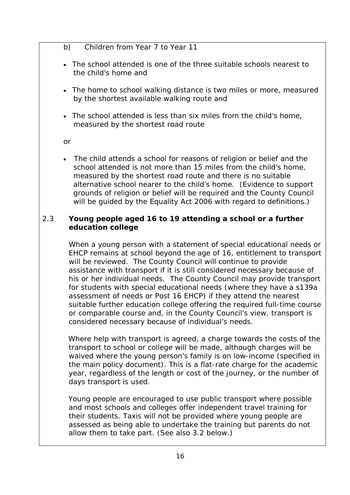- b) Children from Year 7 to Year 11
- The school attended is one of the three suitable schools nearest to the child's home and
- The home to school walking distance is two miles or more, measured by the shortest available walking route and
- The school attended is less than six miles from the child's home, measured by the shortest road route

or

The child attends a school for reasons of religion or belief and the school attended is not more than 15 miles from the child's home, measured by the shortest road route and there is no suitable alternative school nearer to the child's home. (Evidence to support grounds of religion or belief will be required and the County Council will be guided by the Equality Act 2006 with regard to definitions.)

## 2.3 **Young people aged 16 to 19 attending a school or a further education college**

When a young person with a statement of special educational needs or EHCP remains at school beyond the age of 16, entitlement to transport will be reviewed. The County Council will continue to provide assistance with transport if it is still considered necessary because of his or her individual needs. The County Council may provide transport for students with special educational needs (where they have a s139a assessment of needs or Post 16 EHCP) if they attend the nearest suitable further education college offering the required full-time course or comparable course and, in the County Council's view, transport is considered necessary because of individual's needs.

 Where help with transport is agreed, a charge towards the costs of the transport to school or college will be made, although charges will be waived where the young person's family is on low-income (specified in the main policy document). This is a flat-rate charge for the academic year, regardless of the length or cost of the journey, or the number of days transport is used.

 Young people are encouraged to use public transport where possible and most schools and colleges offer independent travel training for their students. Taxis will not be provided where young people are assessed as being able to undertake the training but parents do not allow them to take part. (See also 3.2 below.)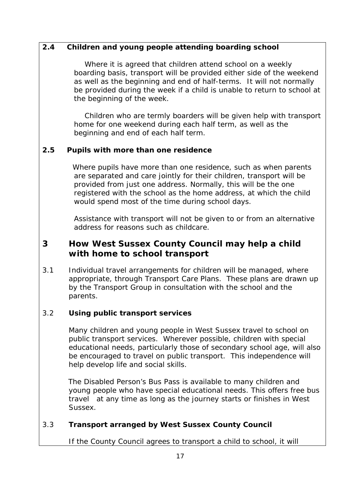# **2.4 Children and young people attending boarding school**

Where it is agreed that children attend school on a weekly boarding basis, transport will be provided either side of the weekend as well as the beginning and end of half-terms. It will not normally be provided during the week if a child is unable to return to school at the beginning of the week.

Children who are termly boarders will be given help with transport home for one weekend during each half term, as well as the beginning and end of each half term.

# **2.5 Pupils with more than one residence**

Where pupils have more than one residence, such as when parents are separated and care jointly for their children, transport will be provided from just one address. Normally, this will be the one registered with the school as the home address, at which the child would spend most of the time during school days.

Assistance with transport will not be given to or from an alternative address for reasons such as childcare.

# **3 How West Sussex County Council may help a child with home to school transport**

3.1 Individual travel arrangements for children will be managed, where appropriate, through Transport Care Plans. These plans are drawn up by the Transport Group in consultation with the school and the parents.

# 3.2 **Using public transport services**

Many children and young people in West Sussex travel to school on public transport services. Wherever possible, children with special educational needs, particularly those of secondary school age, will also be encouraged to travel on public transport. This independence will help develop life and social skills.

 The Disabled Person's Bus Pass is available to many children and young people who have special educational needs. This offers free bus travel at any time as long as the journey starts or finishes in West Sussex.

# 3.3 **Transport arranged by West Sussex County Council**

If the County Council agrees to transport a child to school, it will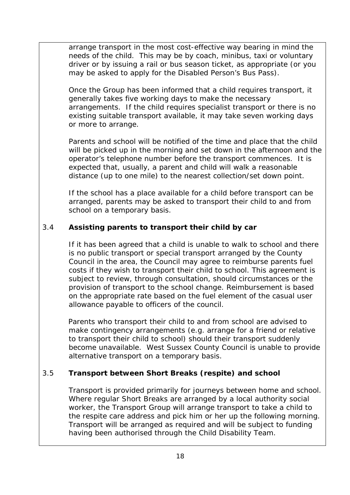arrange transport in the most cost-effective way bearing in mind the needs of the child. This may be by coach, minibus, taxi or voluntary driver or by issuing a rail or bus season ticket, as appropriate (or you may be asked to apply for the Disabled Person's Bus Pass).

Once the Group has been informed that a child requires transport, it generally takes five working days to make the necessary arrangements. If the child requires specialist transport or there is no existing suitable transport available, it may take seven working days or more to arrange.

Parents and school will be notified of the time and place that the child will be picked up in the morning and set down in the afternoon and the operator's telephone number before the transport commences. It is expected that, usually, a parent and child will walk a reasonable distance (up to one mile) to the nearest collection/set down point.

If the school has a place available for a child before transport can be arranged, parents may be asked to transport their child to and from school on a temporary basis.

# 3.4 **Assisting parents to transport their child by car**

If it has been agreed that a child is unable to walk to school and there is no public transport or special transport arranged by the County Council in the area, the Council may agree to reimburse parents fuel costs if they wish to transport their child to school. This agreement is subject to review, through consultation, should circumstances or the provision of transport to the school change. Reimbursement is based on the appropriate rate based on the fuel element of the casual user allowance payable to officers of the council.

 Parents who transport their child to and from school are advised to make contingency arrangements (e.g. arrange for a friend or relative to transport their child to school) should their transport suddenly become unavailable. West Sussex County Council is unable to provide alternative transport on a temporary basis.

# 3.5 **Transport between Short Breaks (respite) and school**

Transport is provided primarily for journeys between home and school. Where regular Short Breaks are arranged by a local authority social worker, the Transport Group will arrange transport to take a child to the respite care address and pick him or her up the following morning. Transport will be arranged as required and will be subject to funding having been authorised through the Child Disability Team.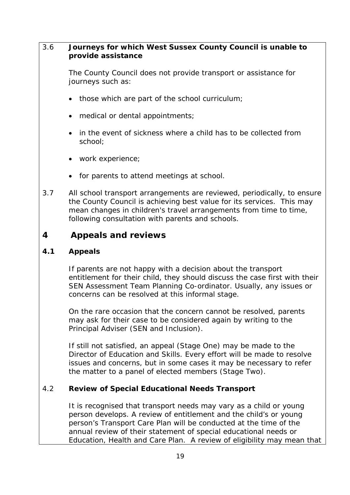## 3.6 **Journeys for which West Sussex County Council is unable to provide assistance**

The County Council does not provide transport or assistance for journeys such as:

- those which are part of the school curriculum;
- medical or dental appointments;
- in the event of sickness where a child has to be collected from school;
- work experience;
- for parents to attend meetings at school.
- 3.7 All school transport arrangements are reviewed, periodically, to ensure the County Council is achieving best value for its services. This may mean changes in children's travel arrangements from time to time, following consultation with parents and schools.

# **4 Appeals and reviews**

# **4.1 Appeals**

If parents are not happy with a decision about the transport entitlement for their child, they should discuss the case first with their SEN Assessment Team Planning Co-ordinator. Usually, any issues or concerns can be resolved at this informal stage.

On the rare occasion that the concern cannot be resolved, parents may ask for their case to be considered again by writing to the Principal Adviser (SEN and Inclusion).

If still not satisfied, an appeal (Stage One) may be made to the Director of Education and Skills. Every effort will be made to resolve issues and concerns, but in some cases it may be necessary to refer the matter to a panel of elected members (Stage Two).

# 4.2 **Review of Special Educational Needs Transport**

It is recognised that transport needs may vary as a child or young person develops. A review of entitlement and the child's or young person's Transport Care Plan will be conducted at the time of the annual review of their statement of special educational needs or Education, Health and Care Plan. A review of eligibility may mean that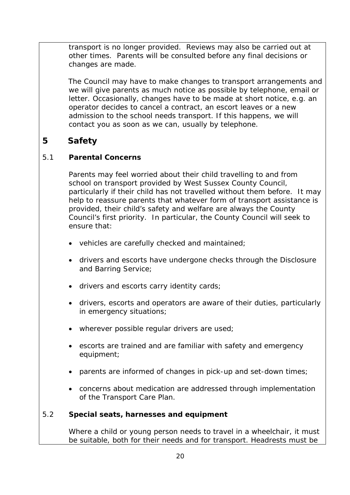transport is no longer provided. Reviews may also be carried out at other times. Parents will be consulted before any final decisions or changes are made.

 The Council may have to make changes to transport arrangements and we will give parents as much notice as possible by telephone, email or letter. Occasionally, changes have to be made at short notice, e.g. an operator decides to cancel a contract, an escort leaves or a new admission to the school needs transport. If this happens, we will contact you as soon as we can, usually by telephone.

# **5 Safety**

# 5.1 **Parental Concerns**

Parents may feel worried about their child travelling to and from school on transport provided by West Sussex County Council, particularly if their child has not travelled without them before. It may help to reassure parents that whatever form of transport assistance is provided, their child's safety and welfare are always the County Council's first priority. In particular, the County Council will seek to ensure that:

- vehicles are carefully checked and maintained;
- drivers and escorts have undergone checks through the Disclosure and Barring Service;
- drivers and escorts carry identity cards;
- drivers, escorts and operators are aware of their duties, particularly in emergency situations;
- wherever possible regular drivers are used;
- escorts are trained and are familiar with safety and emergency equipment;
- parents are informed of changes in pick-up and set-down times;
- concerns about medication are addressed through implementation of the Transport Care Plan.

# 5.2 **Special seats, harnesses and equipment**

Where a child or young person needs to travel in a wheelchair, it must be suitable, both for their needs and for transport. Headrests must be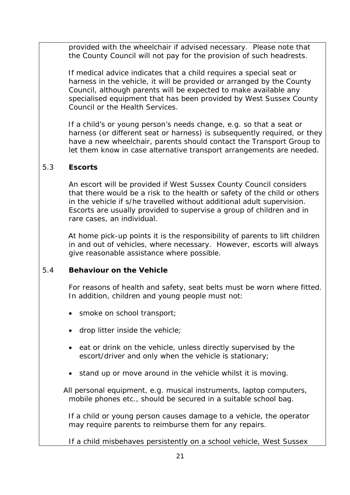provided with the wheelchair if advised necessary. Please note that the County Council will not pay for the provision of such headrests.

 If medical advice indicates that a child requires a special seat or harness in the vehicle, it will be provided or arranged by the County Council, although parents will be expected to make available any specialised equipment that has been provided by West Sussex County Council or the Health Services.

 If a child's or young person's needs change, e.g. so that a seat or harness (or different seat or harness) is subsequently required, or they have a new wheelchair, parents should contact the Transport Group to let them know in case alternative transport arrangements are needed.

# 5.3 **Escorts**

An escort will be provided if West Sussex County Council considers that there would be a risk to the health or safety of the child or others in the vehicle if s/he travelled without additional adult supervision. Escorts are usually provided to supervise a group of children and in rare cases, an individual.

 At home pick-up points it is the responsibility of parents to lift children in and out of vehicles, where necessary. However, escorts will always give reasonable assistance where possible.

# 5.4 **Behaviour on the Vehicle**

For reasons of health and safety, seat belts must be worn where fitted. In addition, children and young people must not:

- smoke on school transport;
- drop litter inside the vehicle;
- eat or drink on the vehicle, unless directly supervised by the escort/driver and only when the vehicle is stationary;
- stand up or move around in the vehicle whilst it is moving.

All personal equipment, e.g. musical instruments, laptop computers, mobile phones etc., should be secured in a suitable school bag.

 If a child or young person causes damage to a vehicle, the operator may require parents to reimburse them for any repairs.

If a child misbehaves persistently on a school vehicle, West Sussex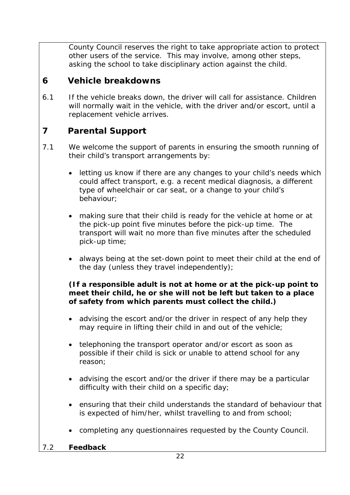County Council reserves the right to take appropriate action to protect other users of the service. This may involve, among other steps, asking the school to take disciplinary action against the child.

# **6 Vehicle breakdowns**

6.1 If the vehicle breaks down, the driver will call for assistance. Children will normally wait in the vehicle, with the driver and/or escort, until a replacement vehicle arrives.

# **7 Parental Support**

- 7.1 We welcome the support of parents in ensuring the smooth running of their child's transport arrangements by:
	- letting us know if there are any changes to your child's needs which could affect transport, e.g. a recent medical diagnosis, a different type of wheelchair or car seat, or a change to your child's behaviour;
	- making sure that their child is ready for the vehicle at home or at the pick-up point five minutes before the pick-up time. The transport will wait no more than five minutes after the scheduled pick-up time;
	- always being at the set-down point to meet their child at the end of the day (unless they travel independently);

# **(If a responsible adult is not at home or at the pick-up point to meet their child, he or she will not be left but taken to a place of safety from which parents must collect the child.)**

- advising the escort and/or the driver in respect of any help they may require in lifting their child in and out of the vehicle;
- telephoning the transport operator and/or escort as soon as possible if their child is sick or unable to attend school for any reason;
- advising the escort and/or the driver if there may be a particular difficulty with their child on a specific day;
- ensuring that their child understands the standard of behaviour that is expected of him/her, whilst travelling to and from school;
- completing any questionnaires requested by the County Council.
- 7.2 **Feedback**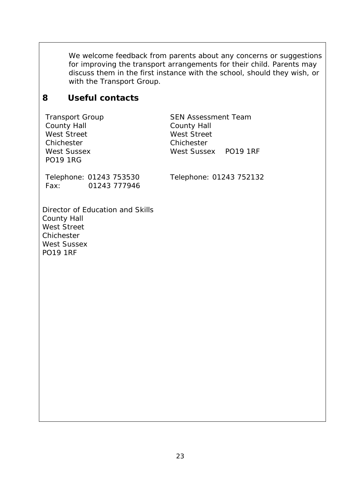We welcome feedback from parents about any concerns or suggestions for improving the transport arrangements for their child. Parents may discuss them in the first instance with the school, should they wish, or with the Transport Group.

# **8 Useful contacts**

Transport Group County Hall West Street Chichester West Sussex PO19 1RG

SEN Assessment Team County Hall West Street Chichester West Sussex PO19 1RF

Telephone: 01243 753530 Fax: 01243 777946

Telephone: 01243 752132

Director of Education and Skills County Hall West Street Chichester West Sussex PO19 1RF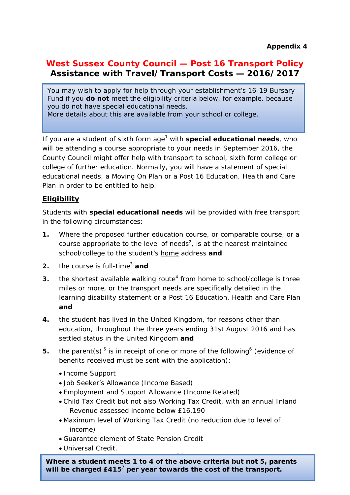# **West Sussex County Council — Post 16 Transport Policy Assistance with Travel/Transport Costs — 2016/2017**

You may wish to apply for help through your establishment's 16-19 Bursary Fund if you **do not** meet the eligibility criteria below, for example, because you do not have special educational needs.

More details about this are available from your school or college.

If you are a student of sixth form age<sup>1</sup> with **special educational needs**, who will be attending a course appropriate to your needs in September 2016, the County Council might offer help with transport to school, sixth form college or college of further education. Normally, you will have a statement of special educational needs, a Moving On Plan or a Post 16 Education, Health and Care Plan in order to be entitled to help.

# **Eligibility**

Students with **special educational needs** will be provided with free transport in the following circumstances:

- **1.** Where the proposed further education course, or comparable course, or a course appropriate to the level of needs<sup>2</sup>, is at the nearest maintained school/college to the student's home address **and**
- **2.** the course is full-time<sup>3</sup> and
- **3.** the shortest available walking route<sup>4</sup> from home to school/college is three miles or more, or the transport needs are specifically detailed in the learning disability statement or a Post 16 Education, Health and Care Plan **and**
- **4.** the student has lived in the United Kingdom, for reasons other than education, throughout the three years ending 31st August 2016 and has settled status in the United Kingdom **and**
- **5.** the parent(s)  $5$  is in receipt of one or more of the following<sup>6</sup> (evidence of benefits received must be sent with the application):
	- Income Support
	- Job Seeker's Allowance (Income Based)
	- Employment and Support Allowance (Income Related)
	- Child Tax Credit but not also Working Tax Credit, with an annual Inland Revenue assessed income below £16,190
	- Maximum level of Working Tax Credit (no reduction due to level of income)
	- Guarantee element of State Pension Credit
	- Universal Credit.

24 **Where a student meets 1 to 4 of the above criteria but not 5, parents will be charged £415**<sup>7</sup> **per year towards the cost of the transport.**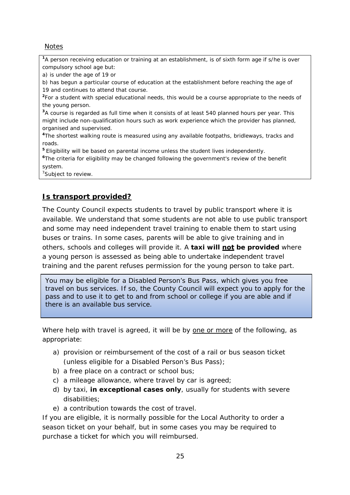**Notes** 

**<sup>1</sup>**A person receiving education or training at an establishment, is of sixth form age if s/he is over compulsory school age but:

a) is under the age of 19 or

b) has begun a particular course of education at the establishment before reaching the age of 19 and continues to attend that course.

**<sup>2</sup>**For a student with special educational needs, this would be a course appropriate to the needs of the young person.

**<sup>3</sup>**A course is regarded as full time when it consists of at least 540 planned hours per year. This might include non-qualification hours such as work experience which the provider has planned, organised and supervised.

**<sup>4</sup>**The shortest walking route is measured using any available footpaths, bridleways, tracks and roads.

**<sup>5</sup>**Eligibility will be based on parental income unless the student lives independently.

**<sup>6</sup>**The criteria for eligibility may be changed following the government's review of the benefit system.

<sup>7</sup>Subject to review.

# **Is transport provided?**

The County Council expects students to travel by public transport where it is available. We understand that some students are not able to use public transport and some may need independent travel training to enable them to start using buses or trains. In some cases, parents will be able to give training and in others, schools and colleges will provide it. A **taxi will not be provided** where a young person is assessed as being able to undertake independent travel training and the parent refuses permission for the young person to take part.

You may be eligible for a Disabled Person's Bus Pass, which gives you free travel on bus services. If so, the County Council will expect you to apply for the pass and to use it to get to and from school or college if you are able and if there is an available bus service.

Where help with travel is agreed, it will be by one or more of the following, as appropriate:

- a) provision or reimbursement of the cost of a rail or bus season ticket (unless eligible for a Disabled Person's Bus Pass);
- b) a free place on a contract or school bus;
- c) a mileage allowance, where travel by car is agreed;
- d) by taxi, **in exceptional cases only**, usually for students with severe disabilities;
- e) a contribution towards the cost of travel.

If you are eligible, it is normally possible for the Local Authority to order a season ticket on your behalf, but in some cases you may be required to purchase a ticket for which you will reimbursed.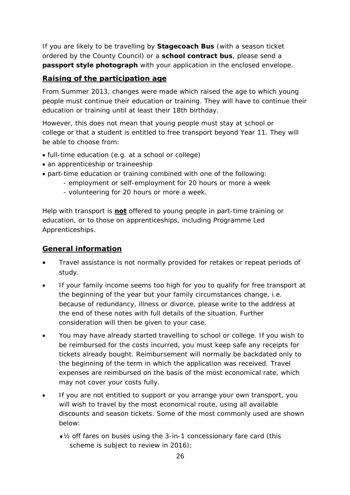If you are likely to be travelling by **Stagecoach Bus** (with a season ticket ordered by the County Council) or a **school contract bus**, please send a **passport style photograph** with your application in the enclosed envelope.

# **Raising of the participation age**

From Summer 2013, changes were made which raised the age to which young people must continue their education or training. They will have to continue their education or training until at least their 18th birthday.

However, this does not mean that young people must stay at school or college or that a student is entitled to free transport beyond Year 11. They will be able to choose from:

- full-time education (e.g. at a school or college)
- an apprenticeship or traineeship
- part-time education or training combined with one of the following:
	- employment or self-employment for 20 hours or more a week
	- volunteering for 20 hours or more a week.

Help with transport is **not** offered to young people in part-time training or education, or to those on apprenticeships, including Programme Led Apprenticeships.

# **General information**

- Travel assistance is not normally provided for retakes or repeat periods of study.
- If your family income seems too high for you to qualify for free transport at the beginning of the year but your family circumstances change, i.e. because of redundancy, illness or divorce, please write to the address at the end of these notes with full details of the situation. Further consideration will then be given to your case.
- You may have already started travelling to school or college. If you wish to be reimbursed for the costs incurred, you must keep safe any receipts for tickets already bought. Reimbursement will normally be backdated only to the beginning of the term in which the application was received. Travel expenses are reimbursed on the basis of the most economical rate, which may not cover your costs fully.
- If you are not entitled to support or you arrange your own transport, you will wish to travel by the most economical route, using all available discounts and season tickets. Some of the most commonly used are shown below:
	- ♦½ off fares on buses using the 3-in-1 concessionary fare card (this scheme is subject to review in 2016);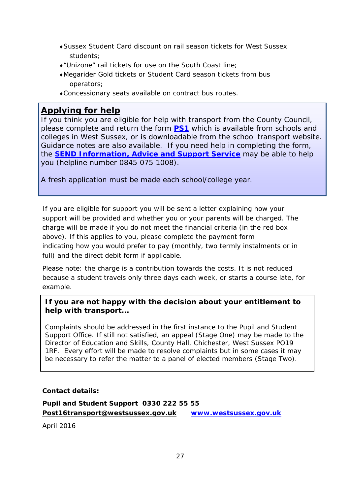- ♦Sussex Student Card discount on rail season tickets for West Sussex students;
- ♦"Unizone" rail tickets for use on the South Coast line;
- ♦Megarider Gold tickets or Student Card season tickets from bus operators;
- ♦Concessionary seats available on contract bus routes.

# **Applying for help**

If you think you are eligible for help with transport from the County Council, please complete and return the form **[PS1](http://www.westsussex.gov.uk/learning/ages_16_and_adults/travel_guidance_for_post-16_st/assistance_with_travel_and_tra.aspx)** which is available from schools and colleges in West Sussex, or is downloadable from the school transport website. Guidance notes are also available. If you need help in completing the form, the **[SEND Information, Advice and Support Service](http://www.westsussex.gov.uk/learning/special_educational_needs/parent_partnership_service_-_s/contact_us.aspx)** may be able to help you (helpline number 0845 075 1008).

A fresh application must be made each school/college year.

If you are eligible for support you will be sent a letter explaining how your support will be provided and whether you or your parents will be charged. The charge will be made if you do not meet the financial criteria (in the red box above). If this applies to you, please complete the payment form indicating how you would prefer to pay (monthly, two termly instalments or in full) and the direct debit form if applicable.

Please note: the charge is a contribution towards the costs. It is not reduced because a student travels only three days each week, or starts a course late, for example.

## **If you are not happy with the decision about your entitlement to help with transport...**

Complaints should be addressed in the first instance to the Pupil and Student Support Office. If still not satisfied, an appeal (Stage One) may be made to the Director of Education and Skills, County Hall, Chichester, West Sussex PO19 1RF. Every effort will be made to resolve complaints but in some cases it may be necessary to refer the matter to a panel of elected members (Stage Two).

## **Contact details:**

## **Pupil and Student Support 0330 222 55 55 [Post16transport@westsussex.gov.uk](mailto:Post16transport@westsussex.gov.uk) [www.westsussex.gov.uk](http://www.westsussex.gov.uk/)**

April 2016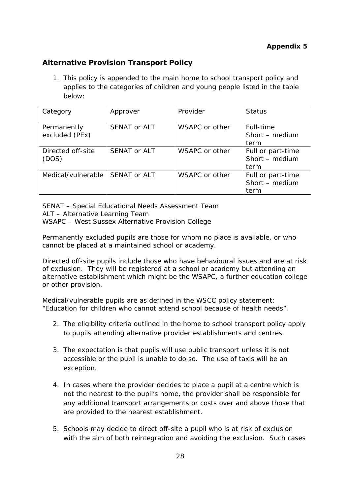## **Appendix 5**

## **Alternative Provision Transport Policy**

1. This policy is appended to the main home to school transport policy and applies to the categories of children and young people listed in the table below:

| Category                      | Approver     | Provider       | <b>Status</b>                               |
|-------------------------------|--------------|----------------|---------------------------------------------|
| Permanently<br>excluded (PEx) | SENAT or ALT | WSAPC or other | Full-time<br>Short - medium<br>term         |
| Directed off-site<br>(DOS)    | SENAT or ALT | WSAPC or other | Full or part-time<br>Short - medium<br>term |
| Medical/vulnerable            | SENAT or ALT | WSAPC or other | Full or part-time<br>Short - medium<br>term |

SENAT – Special Educational Needs Assessment Team ALT – Alternative Learning Team WSAPC – West Sussex Alternative Provision College

Permanently excluded pupils are those for whom no place is available, or who cannot be placed at a maintained school or academy.

Directed off-site pupils include those who have behavioural issues and are at risk of exclusion. They will be registered at a school or academy but attending an alternative establishment which might be the WSAPC, a further education college or other provision.

Medical/vulnerable pupils are as defined in the WSCC policy statement: "Education for children who cannot attend school because of health needs".

- 2. The eligibility criteria outlined in the home to school transport policy apply to pupils attending alternative provider establishments and centres.
- 3. The expectation is that pupils will use public transport unless it is not accessible or the pupil is unable to do so. The use of taxis will be an exception.
- 4. In cases where the provider decides to place a pupil at a centre which is not the nearest to the pupil's home, the provider shall be responsible for any additional transport arrangements or costs over and above those that are provided to the nearest establishment.
- 5. Schools may decide to direct off-site a pupil who is at risk of exclusion with the aim of both reintegration and avoiding the exclusion. Such cases